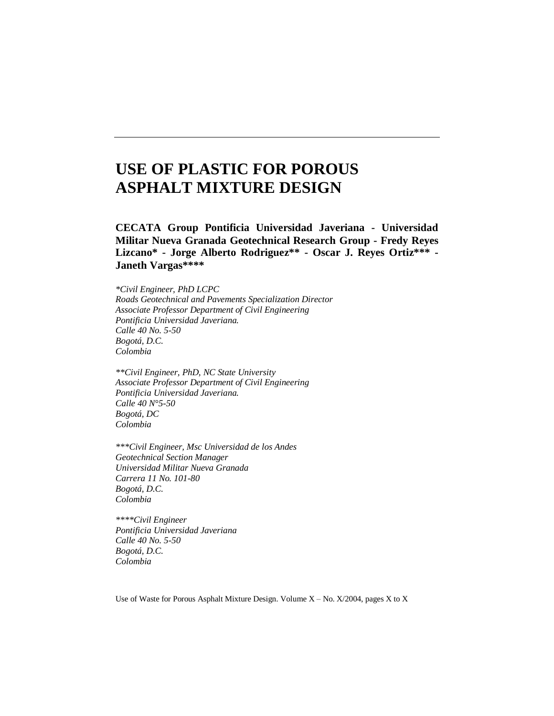# **USE OF PLASTIC FOR POROUS ASPHALT MIXTURE DESIGN**

**CECATA Group Pontificia Universidad Javeriana - Universidad Militar Nueva Granada Geotechnical Research Group - Fredy Reyes Lizcano\* - Jorge Alberto Rodriguez\*\* - Oscar J. Reyes Ortiz\*\*\* - Janeth Vargas\*\*\*\***

*\*Civil Engineer, PhD LCPC Roads Geotechnical and Pavements Specialization Director Associate Professor Department of Civil Engineering Pontificia Universidad Javeriana. Calle 40 No. 5-50 Bogotá, D.C. Colombia*

*\*\*Civil Engineer, PhD, NC State University Associate Professor Department of Civil Engineering Pontificia Universidad Javeriana. Calle 40 N°5-50 Bogotá, DC Colombia*

*\*\*\*Civil Engineer, Msc Universidad de los Andes Geotechnical Section Manager Universidad Militar Nueva Granada Carrera 11 No. 101-80 Bogotá, D.C. Colombia*

*\*\*\*\*Civil Engineer Pontificia Universidad Javeriana Calle 40 No. 5-50 Bogotá, D.C. Colombia*

Use of Waste for Porous Asphalt Mixture Design. Volume  $X - No$ .  $X/2004$ , pages X to X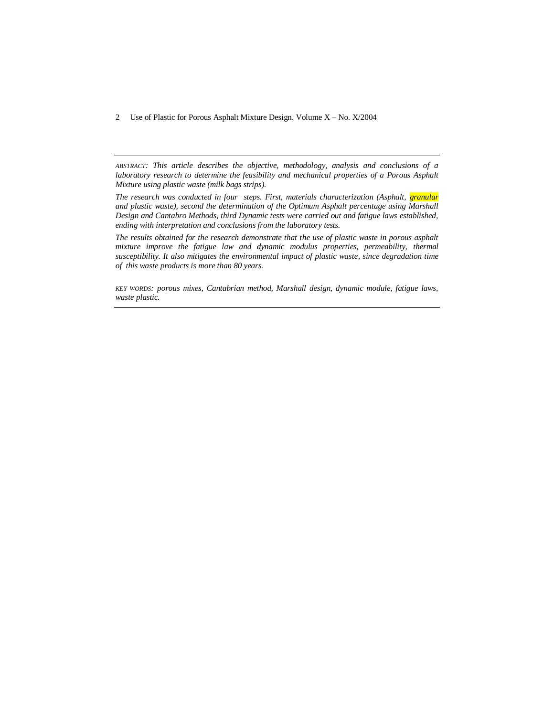*ABSTRACT: This article describes the objective, methodology, analysis and conclusions of a laboratory research to determine the feasibility and mechanical properties of a Porous Asphalt Mixture using plastic waste (milk bags strips).*

*The research was conducted in four steps. First, materials characterization (Asphalt, granular and plastic waste), second the determination of the Optimum Asphalt percentage using Marshall Design and Cantabro Methods, third Dynamic tests were carried out and fatigue laws established, ending with interpretation and conclusions from the laboratory tests.*

*The results obtained for the research demonstrate that the use of plastic waste in porous asphalt mixture improve the fatigue law and dynamic modulus properties, permeability, thermal susceptibility. It also mitigates the environmental impact of plastic waste, since degradation time of this waste products is more than 80 years.*

*KEY WORDS: porous mixes, Cantabrian method, Marshall design, dynamic module, fatigue laws, waste plastic.*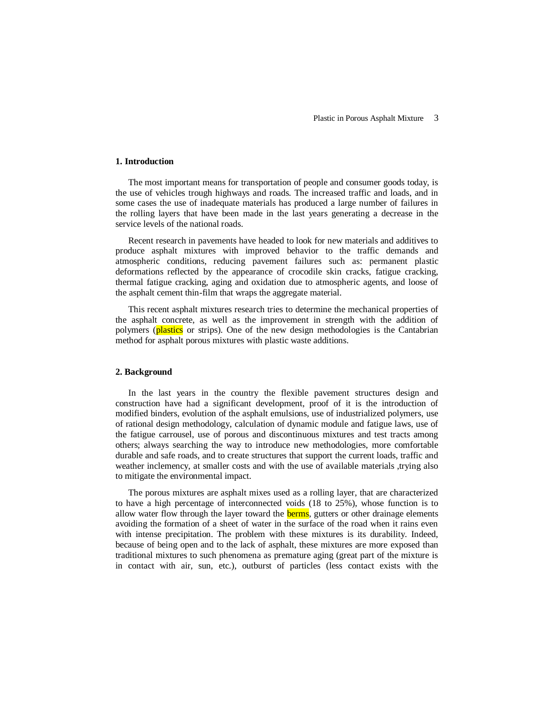#### **1. Introduction**

The most important means for transportation of people and consumer goods today, is the use of vehicles trough highways and roads. The increased traffic and loads, and in some cases the use of inadequate materials has produced a large number of failures in the rolling layers that have been made in the last years generating a decrease in the service levels of the national roads.

Recent research in pavements have headed to look for new materials and additives to produce asphalt mixtures with improved behavior to the traffic demands and atmospheric conditions, reducing pavement failures such as: permanent plastic deformations reflected by the appearance of crocodile skin cracks, fatigue cracking, thermal fatigue cracking, aging and oxidation due to atmospheric agents, and loose of the asphalt cement thin-film that wraps the aggregate material.

This recent asphalt mixtures research tries to determine the mechanical properties of the asphalt concrete, as well as the improvement in strength with the addition of polymers (plastics or strips). One of the new design methodologies is the Cantabrian method for asphalt porous mixtures with plastic waste additions.

#### **2. Background**

In the last years in the country the flexible pavement structures design and construction have had a significant development, proof of it is the introduction of modified binders, evolution of the asphalt emulsions, use of industrialized polymers, use of rational design methodology, calculation of dynamic module and fatigue laws, use of the fatigue carrousel, use of porous and discontinuous mixtures and test tracts among others; always searching the way to introduce new methodologies, more comfortable durable and safe roads, and to create structures that support the current loads, traffic and weather inclemency, at smaller costs and with the use of available materials ,trying also to mitigate the environmental impact.

The porous mixtures are asphalt mixes used as a rolling layer, that are characterized to have a high percentage of interconnected voids (18 to 25%), whose function is to allow water flow through the layer toward the **berms**, gutters or other drainage elements avoiding the formation of a sheet of water in the surface of the road when it rains even with intense precipitation. The problem with these mixtures is its durability. Indeed, because of being open and to the lack of asphalt, these mixtures are more exposed than traditional mixtures to such phenomena as premature aging (great part of the mixture is in contact with air, sun, etc.), outburst of particles (less contact exists with the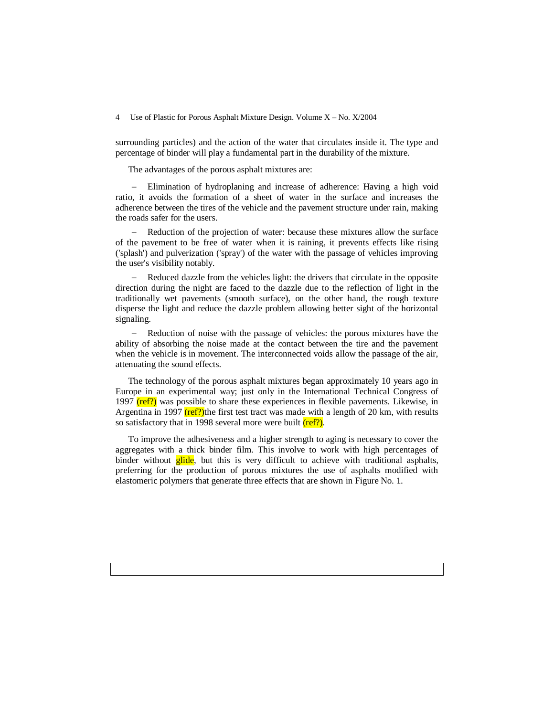surrounding particles) and the action of the water that circulates inside it. The type and percentage of binder will play a fundamental part in the durability of the mixture.

The advantages of the porous asphalt mixtures are:

 Elimination of hydroplaning and increase of adherence: Having a high void ratio, it avoids the formation of a sheet of water in the surface and increases the adherence between the tires of the vehicle and the pavement structure under rain, making the roads safer for the users.

 Reduction of the projection of water: because these mixtures allow the surface of the pavement to be free of water when it is raining, it prevents effects like rising ('splash') and pulverization ('spray') of the water with the passage of vehicles improving the user's visibility notably.

 Reduced dazzle from the vehicles light: the drivers that circulate in the opposite direction during the night are faced to the dazzle due to the reflection of light in the traditionally wet pavements (smooth surface), on the other hand, the rough texture disperse the light and reduce the dazzle problem allowing better sight of the horizontal signaling.

- Reduction of noise with the passage of vehicles: the porous mixtures have the ability of absorbing the noise made at the contact between the tire and the pavement when the vehicle is in movement. The interconnected voids allow the passage of the air, attenuating the sound effects.

The technology of the porous asphalt mixtures began approximately 10 years ago in Europe in an experimental way; just only in the International Technical Congress of 1997  $(\text{ref?})$  was possible to share these experiences in flexible pavements. Likewise, in Argentina in 1997  $(ref?)$  the first test tract was made with a length of 20 km, with results so satisfactory that in 1998 several more were built  $(ref?)$ .

To improve the adhesiveness and a higher strength to aging is necessary to cover the aggregates with a thick binder film. This involve to work with high percentages of binder without glide, but this is very difficult to achieve with traditional asphalts, preferring for the production of porous mixtures the use of asphalts modified with elastomeric polymers that generate three effects that are shown in Figure No. 1.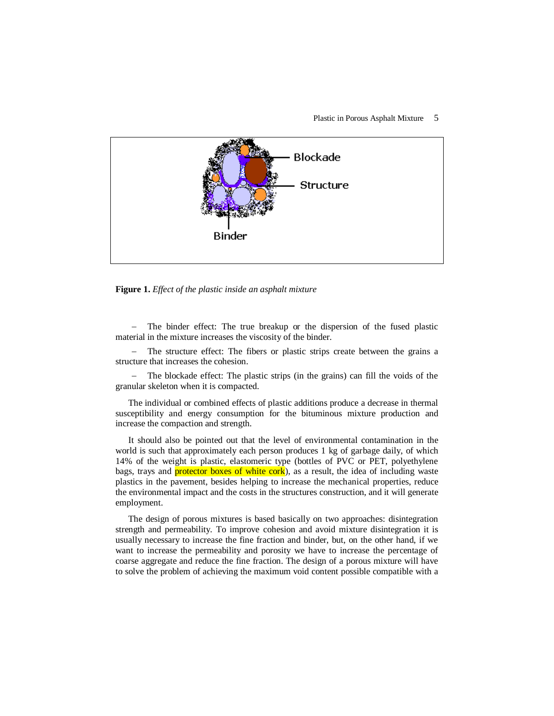#### Plastic in Porous Asphalt Mixture 5



**Figure 1.** *Effect of the plastic inside an asphalt mixture*

 The binder effect: The true breakup or the dispersion of the fused plastic material in the mixture increases the viscosity of the binder.

- The structure effect: The fibers or plastic strips create between the grains a structure that increases the cohesion.

 The blockade effect: The plastic strips (in the grains) can fill the voids of the granular skeleton when it is compacted.

The individual or combined effects of plastic additions produce a decrease in thermal susceptibility and energy consumption for the bituminous mixture production and increase the compaction and strength.

It should also be pointed out that the level of environmental contamination in the world is such that approximately each person produces 1 kg of garbage daily, of which 14% of the weight is plastic, elastomeric type (bottles of PVC or PET, polyethylene bags, trays and **protector boxes of white cork**), as a result, the idea of including waste plastics in the pavement, besides helping to increase the mechanical properties, reduce the environmental impact and the costs in the structures construction, and it will generate employment.

The design of porous mixtures is based basically on two approaches: disintegration strength and permeability. To improve cohesion and avoid mixture disintegration it is usually necessary to increase the fine fraction and binder, but, on the other hand, if we want to increase the permeability and porosity we have to increase the percentage of coarse aggregate and reduce the fine fraction. The design of a porous mixture will have to solve the problem of achieving the maximum void content possible compatible with a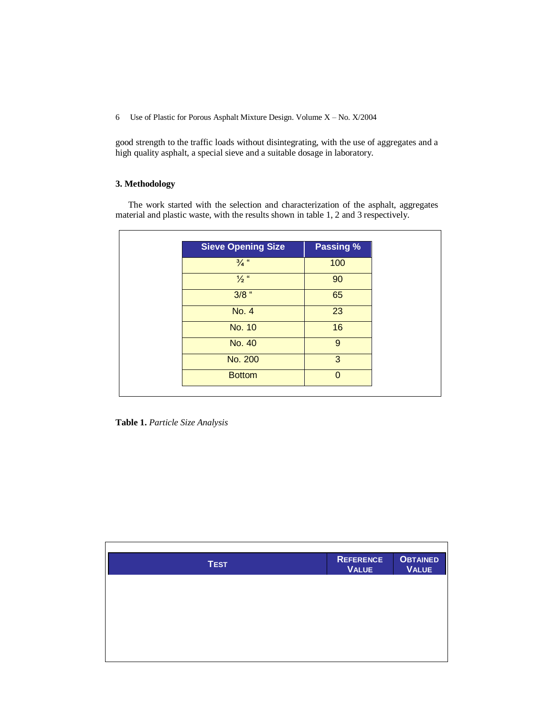good strength to the traffic loads without disintegrating, with the use of aggregates and a high quality asphalt, a special sieve and a suitable dosage in laboratory.

# **3. Methodology**

The work started with the selection and characterization of the asphalt, aggregates material and plastic waste, with the results shown in table 1, 2 and 3 respectively.

| <b>Sieve Opening Size</b> | Passing % |
|---------------------------|-----------|
| $\frac{3}{4}$ "           | 100       |
| $\frac{1}{2}$ "           | 90        |
| $3/8$ "                   | 65        |
| <b>No. 4</b>              | 23        |
| <b>No. 10</b>             | 16        |
| No. 40                    | 9         |
| No. 200                   | 3         |
| <b>Bottom</b>             | $\Omega$  |

**Table 1.** *Particle Size Analysis*

| <b>TEST</b> | <b>REFERENCE</b><br><b>VALUE</b> | <b>OBTAINED</b><br><b>VALUE</b> |
|-------------|----------------------------------|---------------------------------|
|             |                                  |                                 |
|             |                                  |                                 |
|             |                                  |                                 |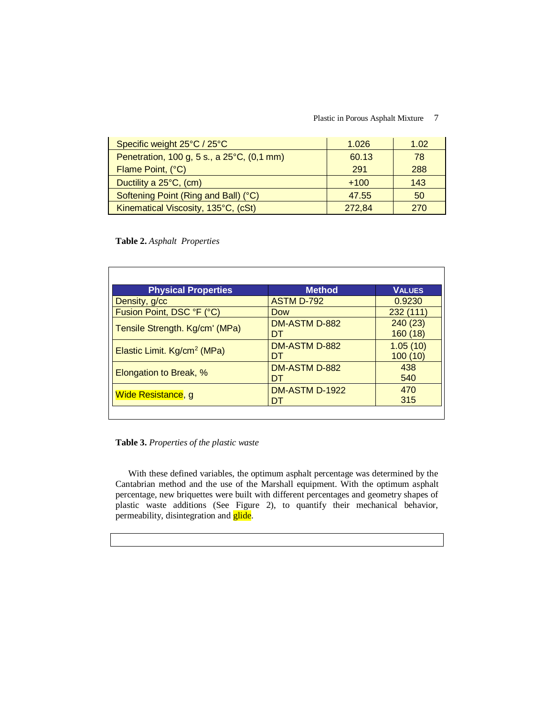### Plastic in Porous Asphalt Mixture 7

| Specific weight 25°C / 25°C                | 1.026  | 1.02 |
|--------------------------------------------|--------|------|
| Penetration, 100 g, 5 s., a 25°C, (0,1 mm) | 60.13  | 78   |
| Flame Point, (°C)                          | 291    | 288  |
| Ductility a 25°C, (cm)                     | $+100$ | 143  |
| Softening Point (Ring and Ball) (°C)       | 47.55  | 50   |
| Kinematical Viscosity, 135°C, (cSt)        | 272.84 | 270  |

# **Table 2.** *Asphalt Properties*

| <b>Physical Properties</b>              | <b>Method</b>         | <b>VALUES</b> |
|-----------------------------------------|-----------------------|---------------|
| Density, g/cc                           | <b>ASTM D-792</b>     | 0.9230        |
| Fusion Point, DSC °F (°C)               | <b>Dow</b>            | 232(111)      |
| Tensile Strength. Kg/cm' (MPa)          | DM-ASTM D-882         | 240(23)       |
|                                         | DT                    | 160(18)       |
| Elastic Limit. Kg/cm <sup>2</sup> (MPa) | DM-ASTM D-882         | 1.05(10)      |
|                                         | DT                    | 100(10)       |
| Elongation to Break, %                  | DM-ASTM D-882         | 438           |
|                                         | DT                    | 540           |
| Wide Resistance, g                      | <b>DM-ASTM D-1922</b> | 470           |
|                                         | DT                    | 315           |
|                                         |                       |               |

**Table 3.** *Properties of the plastic waste*

With these defined variables, the optimum asphalt percentage was determined by the Cantabrian method and the use of the Marshall equipment. With the optimum asphalt percentage, new briquettes were built with different percentages and geometry shapes of plastic waste additions (See Figure 2), to quantify their mechanical behavior, permeability, disintegration and *glide*.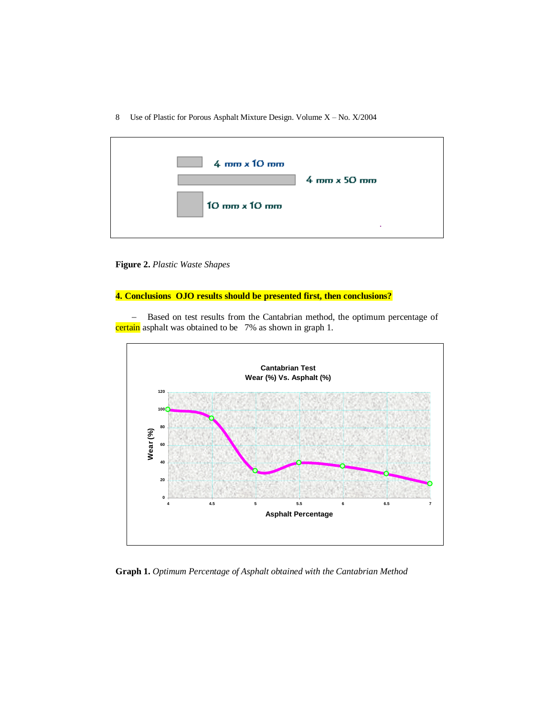| $4 \text{ mm} \times 10 \text{ mm}$  | $4 \text{ mm} \times 50 \text{ mm}$ |
|--------------------------------------|-------------------------------------|
| $10 \text{ mm} \times 10 \text{ mm}$ | - 11                                |

**Figure 2.** *Plastic Waste Shapes* 

# **4. Conclusions OJO results should be presented first, then conclusions?**

- Based on test results from the Cantabrian method, the optimum percentage of certain asphalt was obtained to be 7% as shown in graph 1.



**Graph 1.** *Optimum Percentage of Asphalt obtained with the Cantabrian Method*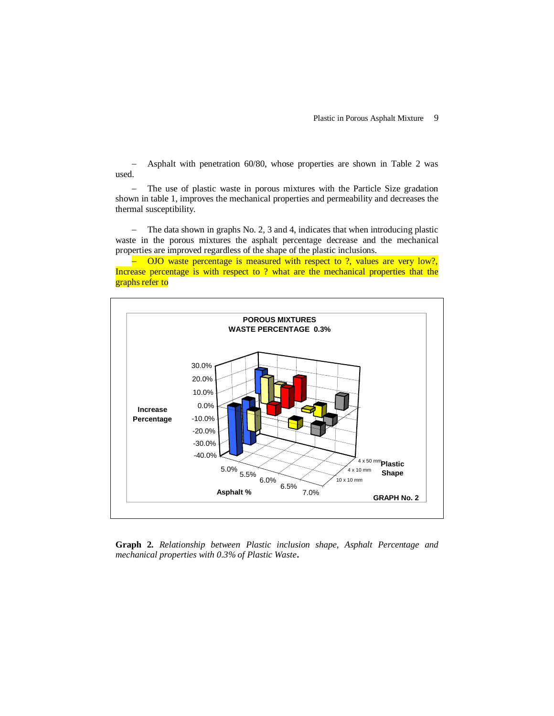Asphalt with penetration 60/80, whose properties are shown in Table 2 was used.

- The use of plastic waste in porous mixtures with the Particle Size gradation shown in table 1, improves the mechanical properties and permeability and decreases the thermal susceptibility.

- The data shown in graphs No. 2, 3 and 4, indicates that when introducing plastic waste in the porous mixtures the asphalt percentage decrease and the mechanical properties are improved regardless of the shape of the plastic inclusions.

 $\sim$  OJO waste percentage is measured with respect to ?, values are very low?, Increase percentage is with respect to ? what are the mechanical properties that the graphs refer to



**Graph 2.** *Relationship between Plastic inclusion shape, Asphalt Percentage and mechanical properties with 0.3% of Plastic Waste***.**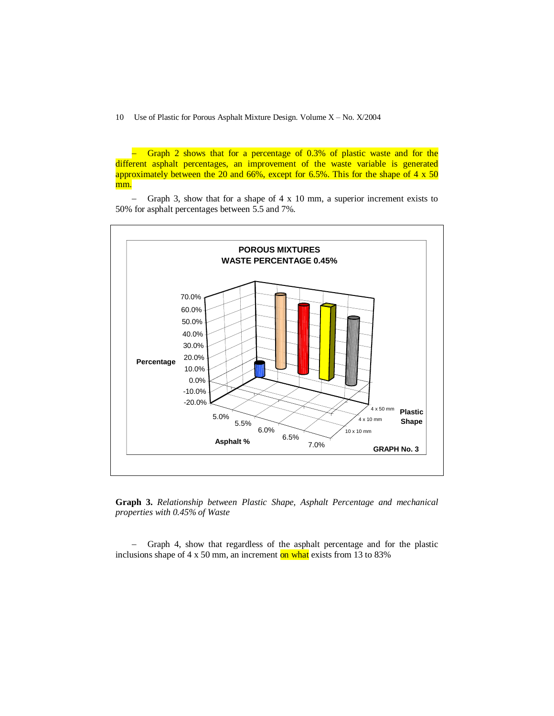- Graph 2 shows that for a percentage of 0.3% of plastic waste and for the different asphalt percentages, an improvement of the waste variable is generated approximately between the 20 and 66%, except for 6.5%. This for the shape of 4 x 50 mm.

 $-$  Graph 3, show that for a shape of 4 x 10 mm, a superior increment exists to 50% for asphalt percentages between 5.5 and 7%.



**Graph 3.** *Relationship between Plastic Shape, Asphalt Percentage and mechanical properties with 0.45% of Waste*

- Graph 4, show that regardless of the asphalt percentage and for the plastic inclusions shape of  $4 \times 50$  mm, an increment on what exists from 13 to 83%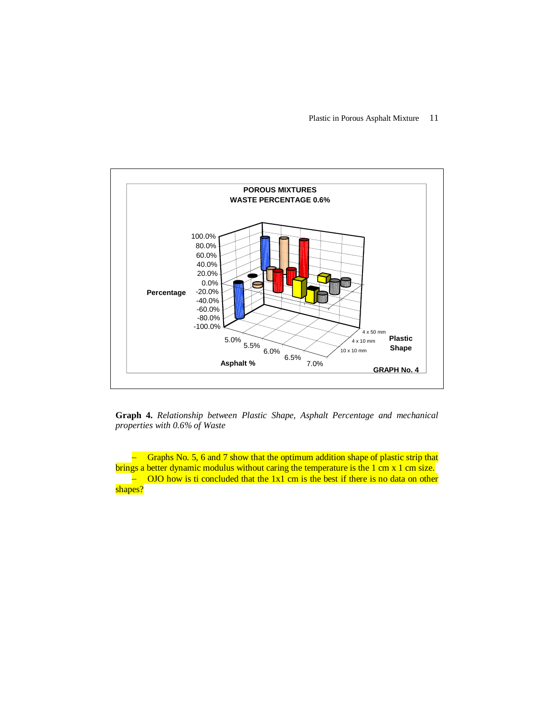

**Graph 4.** *Relationship between Plastic Shape, Asphalt Percentage and mechanical properties with 0.6% of Waste*

- Graphs No. 5, 6 and 7 show that the optimum addition shape of plastic strip that brings a better dynamic modulus without caring the temperature is the 1 cm x 1 cm size.  $\overline{a}$  OJO how is ti concluded that the 1x1 cm is the best if there is no data on other shapes?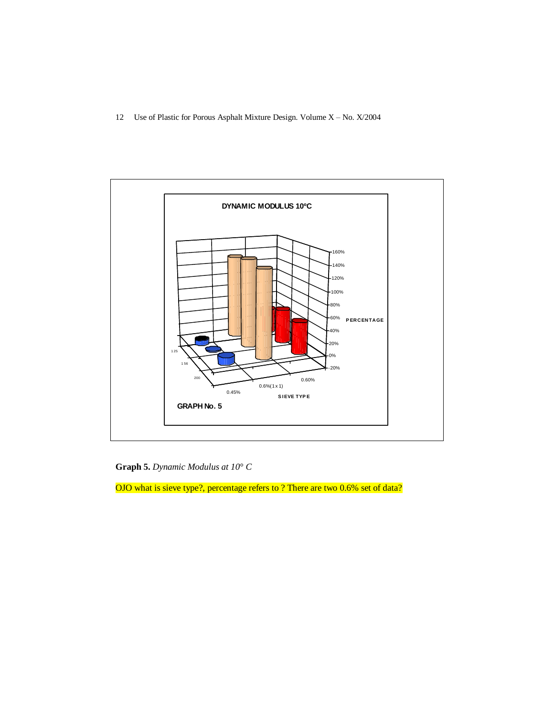

**Graph 5.** *Dynamic Modulus at 10° C*

OJO what is sieve type?, percentage refers to ? There are two 0.6% set of data?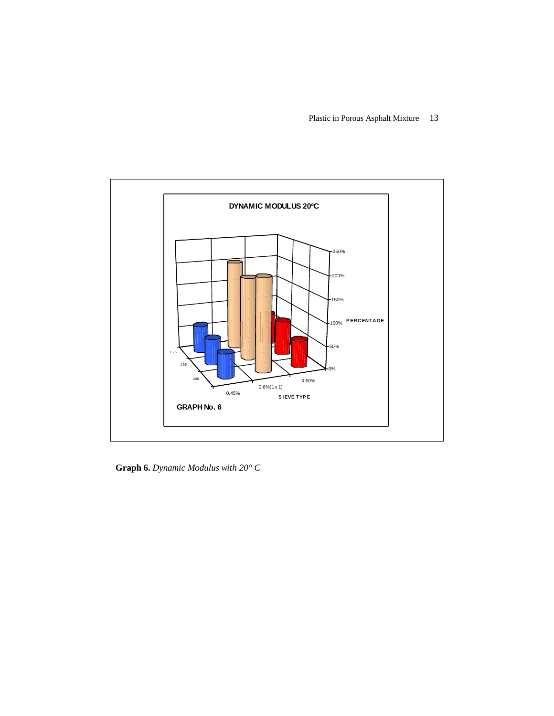Plastic in Porous Asphalt Mixture 13



**Graph 6.** *Dynamic Modulus with 20° C*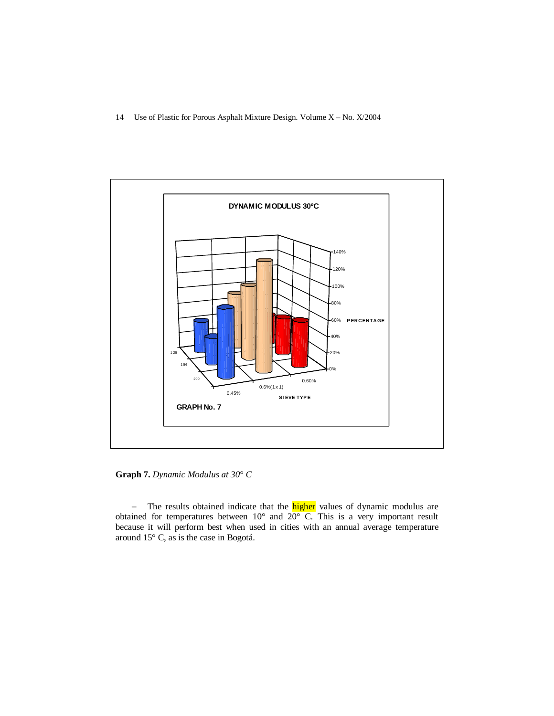

**Graph 7.** *Dynamic Modulus at 30° C*

- The results obtained indicate that the **higher** values of dynamic modulus are obtained for temperatures between 10° and 20° C. This is a very important result because it will perform best when used in cities with an annual average temperature around 15° C, as is the case in Bogotá.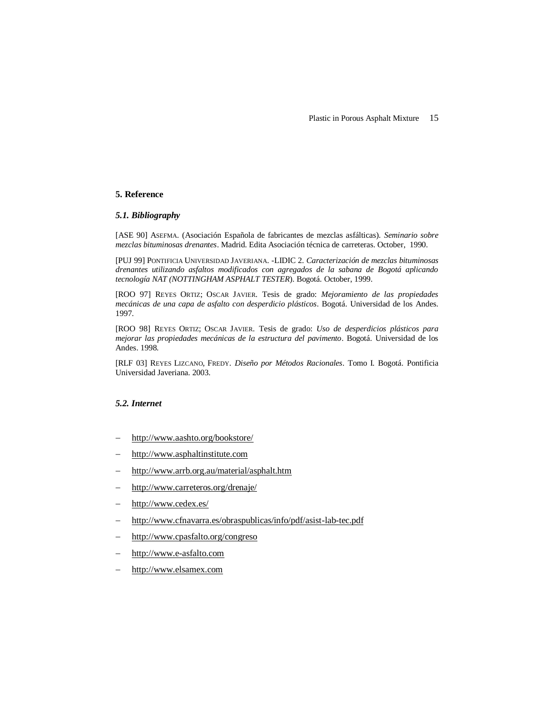#### **5. Reference**

#### *5.1. Bibliography*

[ASE 90] ASEFMA. (Asociación Española de fabricantes de mezclas asfálticas). *Seminario sobre mezclas bituminosas drenantes*. Madrid. Edita Asociación técnica de carreteras. October, 1990.

[PUJ 99] PONTIFICIA UNIVERSIDAD JAVERIANA. -LIDIC 2. *Caracterización de mezclas bituminosas drenantes utilizando asfaltos modificados con agregados de la sabana de Bogotá aplicando tecnología NAT (NOTTINGHAM ASPHALT TESTER*). Bogotá. October, 1999.

[ROO 97] REYES ORTIZ; OSCAR JAVIER. Tesis de grado: *Mejoramiento de las propiedades mecánicas de una capa de asfalto con desperdicio plásticos*. Bogotá. Universidad de los Andes. 1997.

[ROO 98] REYES ORTIZ; OSCAR JAVIER. Tesis de grado: *Uso de desperdicios plásticos para mejorar las propiedades mecánicas de la estructura del pavimento*. Bogotá. Universidad de los Andes. 1998.

[RLF 03] REYES LIZCANO, FREDY. *Diseño por Métodos Racionales*. Tomo I. Bogotá. Pontificia Universidad Javeriana. 2003.

# *5.2. Internet*

- http://www.aashto.org/bookstore/
- [http://www.asphaltinstitute.com](http://www.asphaltinstitute.com/)
- <http://www.arrb.org.au/material/asphalt.htm>
- http://www.carreteros.org/drenaje/
- http://www.cedex.es/
- http://www.cfnavarra.es/obraspublicas/info/pdf/asist-lab-tec.pdf
- <http://www.cpasfalto.org/congreso>
- [http://www.e](http://www.luchemos.org.ar/espa/rev14/rev14p08.htm)-asfalto.com
- [http://www.e](http://www.luchemos.org.ar/espa/rev14/rev14p08.htm)lsamex.com